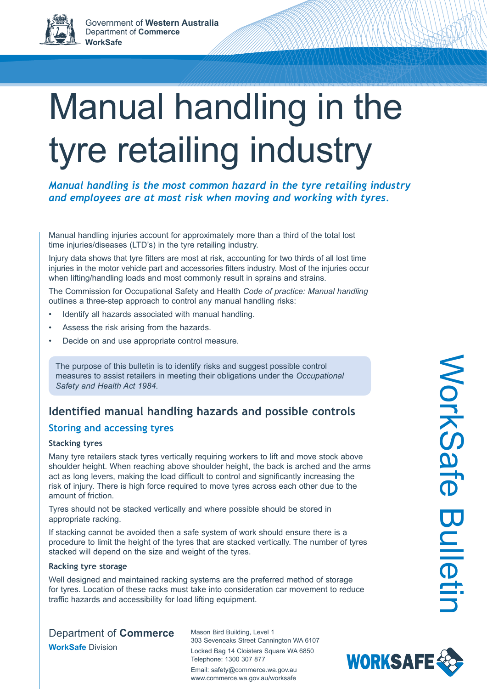# Manual handling in the tyre retailing industry

*Manual handling is the most common hazard in the tyre retailing industry and employees are at most risk when moving and working with tyres.*

Manual handling injuries account for approximately more than a third of the total lost time injuries/diseases (LTD's) in the tyre retailing industry.

Injury data shows that tyre fitters are most at risk, accounting for two thirds of all lost time injuries in the motor vehicle part and accessories fitters industry. Most of the injuries occur when lifting/handling loads and most commonly result in sprains and strains.

The Commission for Occupational Safety and Health *Code of practice: Manual handling* outlines a three-step approach to control any manual handling risks:

- Identify all hazards associated with manual handling.
- Assess the risk arising from the hazards.
- Decide on and use appropriate control measure.

The purpose of this bulletin is to identify risks and suggest possible control measures to assist retailers in meeting their obligations under the *Occupational Safety and Health Act 1984*.

# **Identified manual handling hazards and possible controls**

## **Storing and accessing tyres**

#### **Stacking tyres**

Many tyre retailers stack tyres vertically requiring workers to lift and move stock above shoulder height. When reaching above shoulder height, the back is arched and the arms act as long levers, making the load difficult to control and significantly increasing the risk of injury. There is high force required to move tyres across each other due to the amount of friction.

Tyres should not be stacked vertically and where possible should be stored in appropriate racking.

If stacking cannot be avoided then a safe system of work should ensure there is a procedure to limit the height of the tyres that are stacked vertically. The number of tyres stacked will depend on the size and weight of the tyres.

#### **Racking tyre storage**

Well designed and maintained racking systems are the preferred method of storage for tyres. Location of these racks must take into consideration car movement to reduce traffic hazards and accessibility for load lifting equipment.

Department of **Commerce WorkSafe** Division

Mason Bird Building, Level 1 303 Sevenoaks Street Cannington WA 6107 Locked Bag 14 Cloisters Square WA 6850 Telephone: 1300 307 877 Email: safety@commerce.wa.gov.au www.commerce.wa.gov.au/worksafe

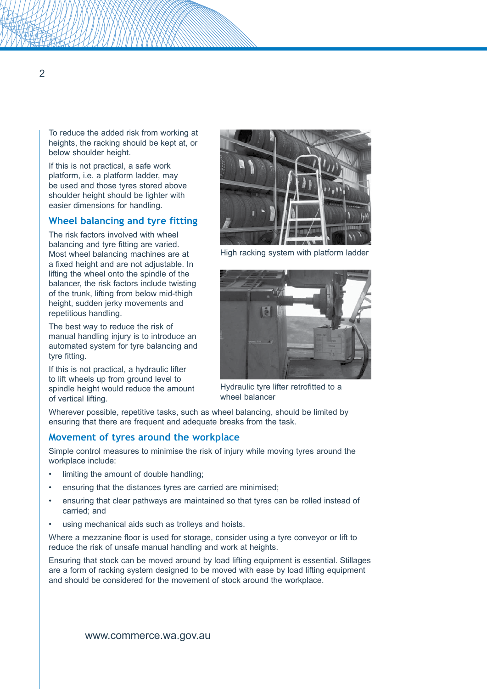To reduce the added risk from working at heights, the racking should be kept at, or below shoulder height.

If this is not practical, a safe work platform, i.e. a platform ladder, may be used and those tyres stored above shoulder height should be lighter with easier dimensions for handling.

## **Wheel balancing and tyre fitting**

The risk factors involved with wheel balancing and tyre fitting are varied. Most wheel balancing machines are at a fixed height and are not adjustable. In lifting the wheel onto the spindle of the balancer, the risk factors include twisting of the trunk, lifting from below mid-thigh height, sudden jerky movements and repetitious handling.

The best way to reduce the risk of manual handling injury is to introduce an automated system for tyre balancing and tyre fitting.

If this is not practical, a hydraulic lifter to lift wheels up from ground level to spindle height would reduce the amount of vertical lifting.



High racking system with platform ladder



Hydraulic tyre lifter retrofitted to a wheel balancer

Wherever possible, repetitive tasks, such as wheel balancing, should be limited by ensuring that there are frequent and adequate breaks from the task.

#### **Movement of tyres around the workplace**

Simple control measures to minimise the risk of injury while moving tyres around the workplace include:

- limiting the amount of double handling;
- ensuring that the distances tyres are carried are minimised;
- ensuring that clear pathways are maintained so that tyres can be rolled instead of carried; and
- using mechanical aids such as trolleys and hoists.

Where a mezzanine floor is used for storage, consider using a tyre conveyor or lift to reduce the risk of unsafe manual handling and work at heights.

Ensuring that stock can be moved around by load lifting equipment is essential. Stillages are a form of racking system designed to be moved with ease by load lifting equipment and should be considered for the movement of stock around the workplace.

 $\overline{2}$